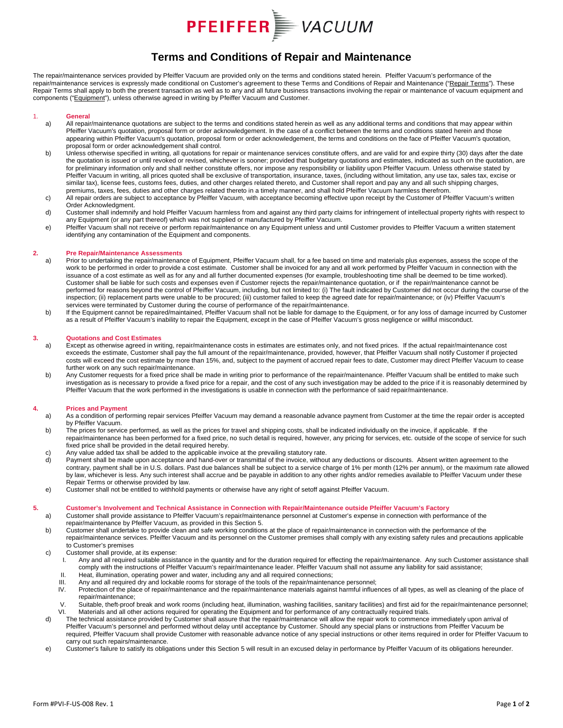

### **Terms and Conditions of Repair and Maintenance**

The repair/maintenance services provided by Pfeiffer Vacuum are provided only on the terms and conditions stated herein. Pfeiffer Vacuum's performance of the repair/maintenance services is expressly made conditional on Customer's agreement to these Terms and Conditions of Repair and Maintenance ("Repair Terms"). These Repair Terms shall apply to both the present transaction as well as to any and all future business transactions involving the repair or maintenance of vacuum equipment and components ("Equipment"), unless otherwise agreed in writing by Pfeiffer Vacuum and Customer.

## 1. **General**

- All repair/maintenance quotations are subject to the terms and conditions stated herein as well as any additional terms and conditions that may appear within Pfeiffer Vacuum's quotation, proposal form or order acknowledgement. In the case of a conflict between the terms and conditions stated herein and those appearing within Pfeiffer Vacuum's quotation, proposal form or order acknowledgement, the terms and conditions on the face of Pfeiffer Vacuum's quotation, proposal form or order acknowledgement shall control.
- b) Unless otherwise specified in writing, all quotations for repair or maintenance services constitute offers, and are valid for and expire thirty (30) days after the date the quotation is issued or until revoked or revised, whichever is sooner; provided that budgetary quotations and estimates, indicated as such on the quotation, are for preliminary information only and shall neither constitute offers, nor impose any responsibility or liability upon Pfeiffer Vacuum. Unless otherwise stated by Pfeiffer Vacuum in writing, all prices quoted shall be exclusive of transportation, insurance, taxes, (including without limitation, any use tax, sales tax, excise or similar tax), license fees, customs fees, duties, and other charges related thereto, and Customer shall report and pay any and all such shipping charges, premiums, taxes, fees, duties and other charges related thereto in a timely manner, and shall hold Pfeiffer Vacuum harmless therefrom.
- c) All repair orders are subject to acceptance by Pfeiffer Vacuum, with acceptance becoming effective upon receipt by the Customer of Pfeiffer Vacuum's written Order Acknowledgment.
- d) Customer shall indemnify and hold Pfeiffer Vacuum harmless from and against any third party claims for infringement of intellectual property rights with respect to any Equipment (or any part thereof) which was not supplied or manufactured by Pfeiffer Vacuum.
- e) Pfeiffer Vacuum shall not receive or perform repair/maintenance on any Equipment unless and until Customer provides to Pfeiffer Vacuum a written statement identifying any contamination of the Equipment and components.

#### **2. Pre Repair/Maintenance Assessments**

- a) Prior to undertaking the repair/maintenance of Equipment, Pfeiffer Vacuum shall, for a fee based on time and materials plus expenses, assess the scope of the work to be performed in order to provide a cost estimate. Customer shall be invoiced for any and all work performed by Pfeiffer Vacuum in connection with the issuance of a cost estimate as well as for any and all further documented expenses (for example, troubleshooting time shall be deemed to be time worked). Customer shall be liable for such costs and expenses even if Customer rejects the repair/maintenance quotation, or if the repair/maintenance cannot be performed for reasons beyond the control of Pfeiffer Vacuum, including, but not limited to: (i) The fault indicated by Customer did not occur during the course of the inspection; (ii) replacement parts were unable to be procured; (iii) customer failed to keep the agreed date for repair/maintenance; or (iv) Pfeiffer Vacuum's services were terminated by Customer during the course of performance of the repair/maintenance.
- b) If the Equipment cannot be repaired/maintained, Pfeiffer Vacuum shall not be liable for damage to the Equipment, or for any loss of damage incurred by Customer as a result of Pfeiffer Vacuum's inability to repair the Equipment, except in the case of Pfeiffer Vacuum's gross negligence or willful misconduct.

#### **3. Quotations and Cost Estimates**

- a) Except as otherwise agreed in writing, repair/maintenance costs in estimates are estimates only, and not fixed prices. If the actual repair/maintenance cost exceeds the estimate, Customer shall pay the full amount of the repair/maintenance, provided, however, that Pfeiffer Vacuum shall notify Customer if projected costs will exceed the cost estimate by more than 15%, and, subject to the payment of accrued repair fees to date, Customer may direct Pfeiffer Vacuum to cease further work on any such repair/maintenance.
- b) Any Customer requests for a fixed price shall be made in writing prior to performance of the repair/maintenance. Pfeiffer Vacuum shall be entitled to make such investigation as is necessary to provide a fixed price for a repair, and the cost of any such investigation may be added to the price if it is reasonably determined by Pfeiffer Vacuum that the work performed in the investigations is usable in connection with the performance of said repair/maintenance.

## **4. Prices and Payment**

- As a condition of performing repair services Pfeiffer Vacuum may demand a reasonable advance payment from Customer at the time the repair order is accepted by Pfeiffer Vacuum.
- b) The prices for service performed, as well as the prices for travel and shipping costs, shall be indicated individually on the invoice, if applicable. If the repair/maintenance has been performed for a fixed price, no such detail is required, however, any pricing for services, etc. outside of the scope of service for such fixed price shall be provided in the detail required hereby.
- c) Any value added tax shall be added to the applicable invoice at the prevailing statutory rate.<br>
d) Payment shall be made upon acceptance and hand-over or transmittal of the invoice, withou
- Payment shall be made upon acceptance and hand-over or transmittal of the invoice, without any deductions or discounts. Absent written agreement to the contrary, payment shall be in U.S. dollars. Past due balances shall be subject to a service charge of 1% per month (12% per annum), or the maximum rate allowed by law, whichever is less. Any such interest shall accrue and be payable in addition to any other rights and/or remedies available to Pfeiffer Vacuum under these Repair Terms or otherwise provided by law.
- e) Customer shall not be entitled to withhold payments or otherwise have any right of setoff against Pfeiffer Vacuum.

#### **5. Customer's Involvement and Technical Assistance in Connection with Repair/Maintenance outside Pfeiffer Vacuum's Factory**

- a) Customer shall provide assistance to Pfeiffer Vacuum's repair/maintenance personnel at Customer's expense in connection with performance of the repair/maintenance by Pfeiffer Vacuum, as provided in this Section 5.
- b) Customer shall undertake to provide clean and safe working conditions at the place of repair/maintenance in connection with the performance of the repair/maintenance services. Pfeiffer Vacuum and its personnel on the Customer premises shall comply with any existing safety rules and precautions applicable to Customer's premises
- c) Customer shall provide, at its expense:<br>I. Any and all required suitable assist
	- Any and all required suitable assistance in the quantity and for the duration required for effecting the repair/maintenance. Any such Customer assistance shall comply with the instructions of Pfeiffer Vacuum's repair/maintenance leader. Pfeiffer Vacuum shall not assume any liability for said assistance;
	- II. Heat, illumination, operating power and water, including any and all required connections;<br>III. Any and all required dry and lockable rooms for storage of the tools of the repair/maintena
	- III. Any and all required dry and lockable rooms for storage of the tools of the repair/maintenance personnel;<br>IV. Protection of the place of repair/maintenance and the repair/maintenance materials against harmful influe
	- Protection of the place of repair/maintenance and the repair/maintenance materials against harmful influences of all types, as well as cleaning of the place of repair/maintenance;
	- V. Suitable, theft-proof break and work rooms (including heat, illumination, washing facilities, sanitary facilities) and first aid for the repair/maintenance personnel;<br>VI. Materials and all other actions required for ope Materials and all other actions required for operating the Equipment and for performance of any contractually required trials.
- d) The technical assistance provided by Customer shall assure that the repair/maintenance will allow the repair work to commence immediately upon arrival of Pfeiffer Vacuum's personnel and performed without delay until acceptance by Customer. Should any special plans or instructions from Pfeiffer Vacuum be required, Pfeiffer Vacuum shall provide Customer with reasonable advance notice of any special instructions or other items required in order for Pfeiffer Vacuum to carry out such repairs/maintenance.
- e) Customer's failure to satisfy its obligations under this Section 5 will result in an excused delay in performance by Pfeiffer Vacuum of its obligations hereunder.